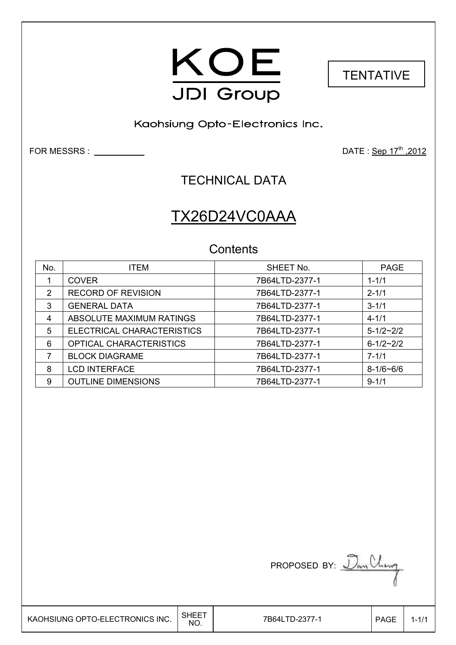



Kaohsiung Opto-Electronics Inc.

 $\overline{\phantom{a}}$ 

FOR MESSRS : DATE : Sep 17th ,2012

### TECHNICAL DATA

# TX26D24VC0AAA

### **Contents**

| No. | <b>ITEM</b>                | SHEET No.      | <b>PAGE</b>     |
|-----|----------------------------|----------------|-----------------|
|     | <b>COVER</b>               | 7B64LTD-2377-1 | $1 - 1/1$       |
| 2   | <b>RECORD OF REVISION</b>  | 7B64LTD-2377-1 | $2 - 1/1$       |
| 3   | <b>GENERAL DATA</b>        | 7B64LTD-2377-1 | $3 - 1/1$       |
| 4   | ABSOLUTE MAXIMUM RATINGS   | 7B64LTD-2377-1 | $4 - 1/1$       |
| 5   | ELECTRICAL CHARACTERISTICS | 7B64LTD-2377-1 | $5 - 1/2 - 2/2$ |
| 6   | OPTICAL CHARACTERISTICS    | 7B64LTD-2377-1 | $6 - 1/2 - 2/2$ |
| 7   | <b>BLOCK DIAGRAME</b>      | 7B64LTD-2377-1 | $7 - 1/1$       |
| 8   | <b>LCD INTERFACE</b>       | 7B64LTD-2377-1 | $8 - 1/6 - 6/6$ |
| 9   | <b>OUTLINE DIMENSIONS</b>  | 7B64LTD-2377-1 | $9 - 1/1$       |

PROPOSED BY:  $\mathcal{D}_{\alpha\gamma}$  Ching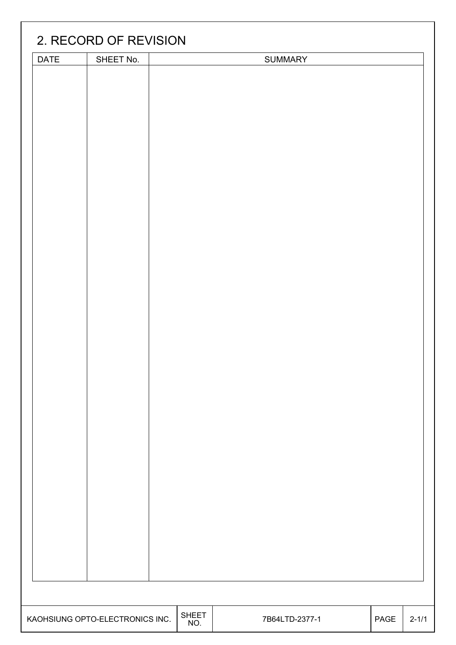| DATE | SHEET No.                       |                     | SUMMARY        |      |           |
|------|---------------------------------|---------------------|----------------|------|-----------|
|      |                                 |                     |                |      |           |
|      |                                 |                     |                |      |           |
|      |                                 |                     |                |      |           |
|      |                                 |                     |                |      |           |
|      |                                 |                     |                |      |           |
|      |                                 |                     |                |      |           |
|      |                                 |                     |                |      |           |
|      |                                 |                     |                |      |           |
|      |                                 |                     |                |      |           |
|      |                                 |                     |                |      |           |
|      |                                 |                     |                |      |           |
|      |                                 |                     |                |      |           |
|      |                                 |                     |                |      |           |
|      |                                 |                     |                |      |           |
|      |                                 |                     |                |      |           |
|      |                                 |                     |                |      |           |
|      |                                 |                     |                |      |           |
|      |                                 |                     |                |      |           |
|      |                                 |                     |                |      |           |
|      |                                 |                     |                |      |           |
|      |                                 |                     |                |      |           |
|      |                                 |                     |                |      |           |
|      |                                 |                     |                |      |           |
|      |                                 |                     |                |      |           |
|      |                                 |                     |                |      |           |
|      |                                 |                     |                |      |           |
|      |                                 |                     |                |      |           |
|      |                                 |                     |                |      |           |
|      |                                 |                     |                |      |           |
|      |                                 |                     |                |      |           |
|      |                                 |                     |                |      |           |
|      |                                 |                     |                |      |           |
|      |                                 |                     |                |      |           |
|      |                                 |                     |                |      |           |
|      |                                 |                     |                |      |           |
|      |                                 |                     |                |      |           |
|      | KAOHSIUNG OPTO-ELECTRONICS INC. | <b>SHEET</b><br>NO. | 7B64LTD-2377-1 | PAGE | $2 - 1/1$ |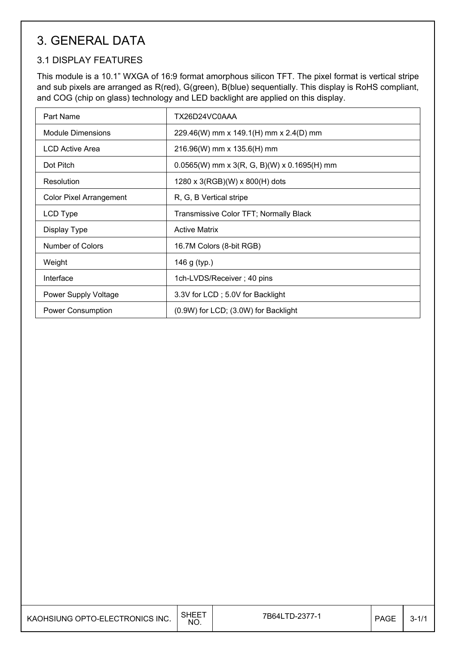## 3. GENERAL DATA

#### 3.1 DISPLAY FEATURES

This module is a 10.1" WXGA of 16:9 format amorphous silicon TFT. The pixel format is vertical stripe and sub pixels are arranged as R(red), G(green), B(blue) sequentially. This display is RoHS compliant, and COG (chip on glass) technology and LED backlight are applied on this display.

| Part Name                      | TX26D24VC0AAA                                 |
|--------------------------------|-----------------------------------------------|
| <b>Module Dimensions</b>       | 229.46(W) mm x 149.1(H) mm x 2.4(D) mm        |
| <b>LCD Active Area</b>         | 216.96(W) mm x 135.6(H) mm                    |
| Dot Pitch                      | $0.0565(W)$ mm x 3(R, G, B)(W) x 0.1695(H) mm |
| Resolution                     | 1280 x 3(RGB)(W) x 800(H) dots                |
| <b>Color Pixel Arrangement</b> | R, G, B Vertical stripe                       |
| LCD Type                       | Transmissive Color TFT; Normally Black        |
| Display Type                   | <b>Active Matrix</b>                          |
| Number of Colors               | 16.7M Colors (8-bit RGB)                      |
| Weight                         | 146 g (typ.)                                  |
| Interface                      | 1ch-LVDS/Receiver; 40 pins                    |
| Power Supply Voltage           | 3.3V for LCD; 5.0V for Backlight              |
| Power Consumption              | (0.9W) for LCD; (3.0W) for Backlight          |

| KAOHSIUNG OPTO-ELECTRONICS INC. | NO. | 7B64LTD-2377- | <b>PAGE</b> | - 32 |
|---------------------------------|-----|---------------|-------------|------|
|---------------------------------|-----|---------------|-------------|------|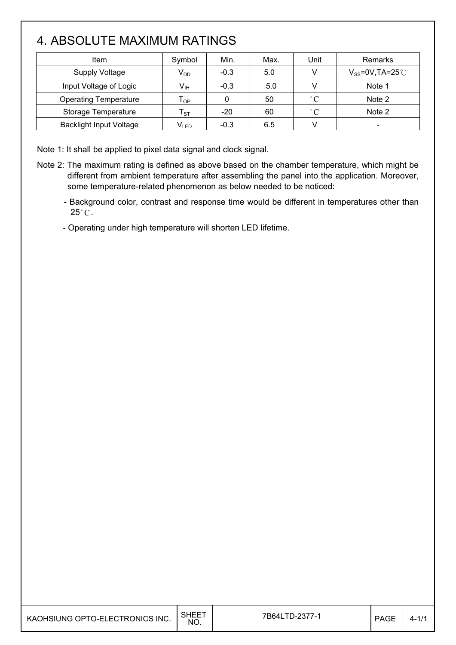## 4. ABSOLUTE MAXIMUM RATINGS

| Item                           | Symbol                       | Min.   | Max. | Unit         | Remarks                  |
|--------------------------------|------------------------------|--------|------|--------------|--------------------------|
| <b>Supply Voltage</b>          | $V_{DD}$                     | $-0.3$ | 5.0  |              | $V_{SS}$ =0V,TA=25 $°C$  |
| Input Voltage of Logic         | $V_{\sf IH}$                 | $-0.3$ | 5.0  |              | Note 1                   |
| <b>Operating Temperature</b>   | ${\mathsf T}_{\mathsf {OP}}$ |        | 50   | $^{\circ}C$  | Note 2                   |
| Storage Temperature            | ${\sf T}_{\tt ST}$           | $-20$  | 60   | $^{\circ}$ C | Note 2                   |
| <b>Backlight Input Voltage</b> | $V_{LED}$                    | $-0.3$ | 6.5  |              | $\overline{\phantom{a}}$ |

Note 1: It shall be applied to pixel data signal and clock signal.

- Note 2: The maximum rating is defined as above based on the chamber temperature, which might be different from ambient temperature after assembling the panel into the application. Moreover, some temperature-related phenomenon as below needed to be noticed:
	- Background color, contrast and response time would be different in temperatures other than  $25^{\circ}$ C.
	- Operating under high temperature will shorten LED lifetime.

| 3HEE .<br>7B64LTD-2377-<br><b>PAGF</b><br>KAOHSIUNG OPTO-ELECTRONICS INC.<br>NO. |  |  |  |  | $4 - 1,$ |
|----------------------------------------------------------------------------------|--|--|--|--|----------|
|----------------------------------------------------------------------------------|--|--|--|--|----------|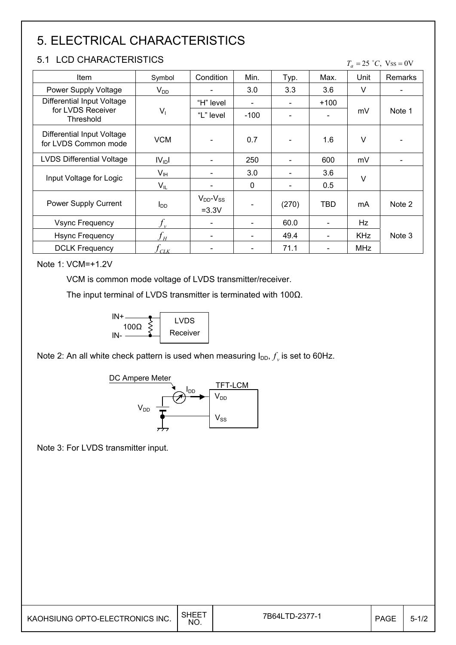# 5. ELECTRICAL CHARACTERISTICS

### 5.1 LCD CHARACTERISTICS

 $T_a = 25$  °C, Vss = 0V

| <b>Item</b>                                        | Symbol                            | Condition                      | Min.   | Typ.                     | Max.                         | Unit       | Remarks |
|----------------------------------------------------|-----------------------------------|--------------------------------|--------|--------------------------|------------------------------|------------|---------|
| Power Supply Voltage                               | $V_{DD}$                          |                                | 3.0    | 3.3                      | 3.6                          | $\vee$     |         |
| Differential Input Voltage                         |                                   | "H" level                      |        |                          | $+100$                       |            |         |
| for LVDS Receiver<br>Threshold                     | $V_1$                             | "L" level                      | $-100$ |                          |                              | mV         | Note 1  |
| Differential Input Voltage<br>for LVDS Common mode | <b>VCM</b>                        | $\overline{\phantom{a}}$       | 0.7    |                          | 1.6                          | $\vee$     |         |
| <b>LVDS Differential Voltage</b>                   | IV <sub>ID</sub> I                |                                | 250    |                          | 600                          | mV         |         |
| Input Voltage for Logic                            | $V_{IH}$                          |                                | 3.0    |                          | 3.6                          | $\vee$     |         |
|                                                    | $V_{IL}$                          |                                | 0      | $\overline{\phantom{0}}$ | 0.5                          |            |         |
| Power Supply Current                               | $I_{DD}$                          | $V_{DD}$ - $V_{SS}$<br>$=3.3V$ |        | (270)                    | TBD                          | mA         | Note 2  |
| <b>Vsync Frequency</b>                             |                                   | $\overline{\phantom{a}}$       |        | 60.0                     | $\overline{\phantom{a}}$     | Hz         |         |
| <b>Hsync Frequency</b>                             | $f_{\scriptscriptstyle H}$        | $\overline{\phantom{a}}$       |        | 49.4                     | $\qquad \qquad \blacksquare$ | <b>KHz</b> | Note 3  |
| <b>DCLK Frequency</b>                              | $\iota_{\scriptscriptstyle{CLK}}$ |                                |        | 71.1                     |                              | <b>MHz</b> |         |

#### Note 1: VCM=+1.2V

VCM is common mode voltage of LVDS transmitter/receiver.

The input terminal of LVDS transmitter is terminated with 100 $\Omega$ .



Note 2: An all white check pattern is used when measuring  $I_{DD}$ ,  $f_v$  is set to 60Hz.



Note 3: For LVDS transmitter input.

| KAOHSIUNG OPTO-ELECTRONICS INC. | SHEET<br>NO. | 7B64LTD-2377-1 | <b>PAGE</b> | $5 - 1/2$ |
|---------------------------------|--------------|----------------|-------------|-----------|
|---------------------------------|--------------|----------------|-------------|-----------|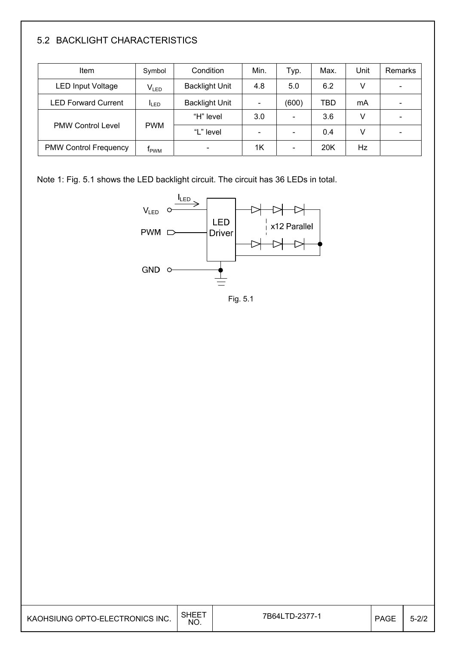### 5.2 BACKLIGHT CHARACTERISTICS

| <b>Item</b>                  | Symbol       | Condition             | Min. | Typ.  | Max.       | Unit | Remarks |
|------------------------------|--------------|-----------------------|------|-------|------------|------|---------|
| <b>LED Input Voltage</b>     | VLED         | <b>Backlight Unit</b> | 4.8  | 5.0   | 6.2        | v    |         |
| <b>LED Forward Current</b>   | <b>ILED</b>  | <b>Backlight Unit</b> |      | (600) | <b>TBD</b> | mA   |         |
|                              |              | "H" level             | 3.0  |       | 3.6        | v    |         |
| <b>PMW Control Level</b>     | <b>PWM</b>   | "L" level             |      |       | 0.4        | V    |         |
| <b>PMW Control Frequency</b> | <b>T</b> pwM |                       | 1K   |       | 20K        | Hz   |         |

Note 1: Fig. 5.1 shows the LED backlight circuit. The circuit has 36 LEDs in total.



Fig. 5.1

| KAOHSIUNG OPTO-ELECTRONICS INC. | <b>SHEET</b><br>NO. | 7B64LTD-2377- | <b>PAGE</b> | $5 - 2/2$ |
|---------------------------------|---------------------|---------------|-------------|-----------|
|                                 |                     |               |             |           |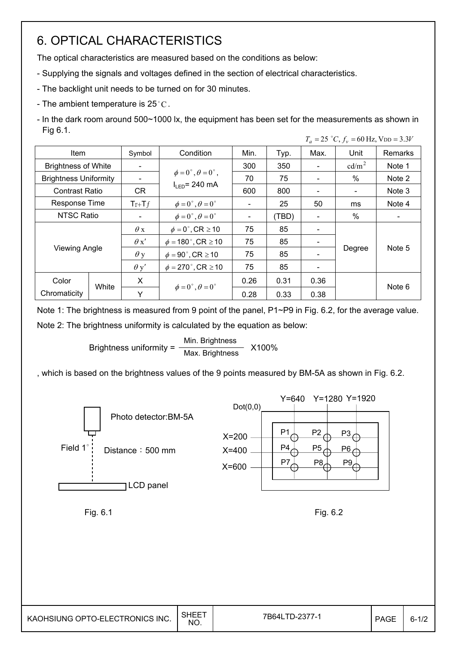## 6. OPTICAL CHARACTERISTICS

The optical characteristics are measured based on the conditions as below:

- Supplying the signals and voltages defined in the section of electrical characteristics.
- The backlight unit needs to be turned on for 30 minutes.
- The ambient temperature is 25 °C.
- In the dark room around 500~1000 lx, the equipment has been set for the measurements as shown in Fig 6.1.  $T_a = 25$   $\degree$ C,  $f_v = 60$  Hz, V<sub>DD</sub> = 3.3*V*

| <b>Item</b>                  |       | Symbol                   | Condition                               | Min. | Typ.  | Max. | Unit            | Remarks |  |
|------------------------------|-------|--------------------------|-----------------------------------------|------|-------|------|-----------------|---------|--|
| <b>Brightness of White</b>   |       | $\overline{\phantom{a}}$ |                                         | 300  | 350   |      | $\text{cd/m}^2$ | Note 1  |  |
| <b>Brightness Uniformity</b> |       |                          | $\phi = 0^{\circ}, \theta = 0^{\circ},$ | 70   | 75    |      | $\%$            | Note 2  |  |
| <b>Contrast Ratio</b>        |       | CR                       | $I_{LED}$ = 240 mA                      | 600  | 800   |      |                 | Note 3  |  |
| <b>Response Time</b>         |       | $Tr+Tf$                  | $\phi = 0^{\circ}, \theta = 0^{\circ}$  |      | 25    | 50   | ms              | Note 4  |  |
| <b>NTSC Ratio</b>            |       | $\overline{\phantom{a}}$ | $\phi = 0^{\circ}, \theta = 0^{\circ}$  |      | (TBD) |      | %               |         |  |
|                              |       | $\theta$ x               | $\phi = 0^\circ$ , CR $\geq 10$         | 75   | 85    |      |                 |         |  |
|                              |       | $\theta x'$              | $\phi = 180^{\circ}$ , CR $\geq 10$     | 75   | 85    |      |                 |         |  |
| <b>Viewing Angle</b>         |       | $\theta$ y               | $\phi = 90^\circ$ , CR $\geq 10$        | 75   | 85    |      | Degree          | Note 5  |  |
|                              |       | $\theta$ y'              | $\phi = 270$ °, CR $\geq 10$            | 75   | 85    |      |                 |         |  |
| Color                        |       | X                        |                                         | 0.26 | 0.31  | 0.36 |                 |         |  |
| Chromaticity                 | White |                          | $\phi = 0^{\circ}, \theta = 0^{\circ}$  | 0.28 | 0.33  | 0.38 |                 | Note 6  |  |

Note 1: The brightness is measured from 9 point of the panel, P1~P9 in Fig. 6.2, for the average value. Note 2: The brightness uniformity is calculated by the equation as below:

> Brightness uniformity =  $\frac{\text{Min.}_{\text{Br}}}{\text{Max.}_{\text{B}}}\frac{1}{\text{Max.}_{\text{B}}}\times 100\%$ Max. Brightness

, which is based on the brightness values of the 9 points measured by BM-5A as shown in Fig. 6.2.



Fig. 6.1 Fig. 6.2

| KAOHSIUNG OPTO-ELECTRONICS INC. | <b>SHEET</b><br>ا ب<br>NO. | 7B64LTD-2377-1 | <b>PAGE</b> | $6 - 1/2$ |
|---------------------------------|----------------------------|----------------|-------------|-----------|
|                                 |                            |                |             |           |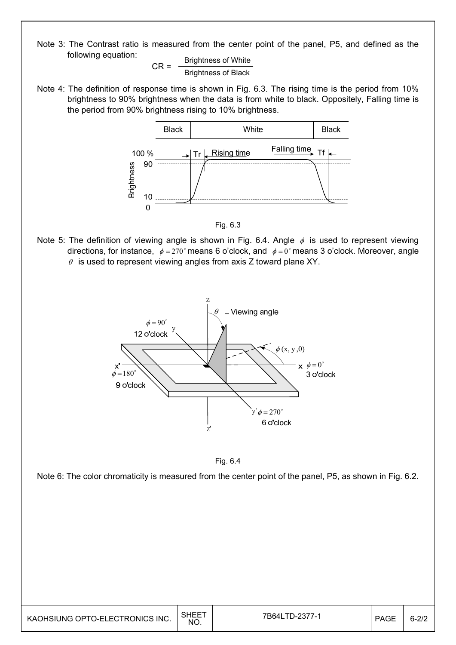Note 3: The Contrast ratio is measured from the center point of the panel, P5, and defined as the following equation:

$$
CR = \frac{Brightness \text{ of White}}{Brightness \text{ of Black}}
$$

Note 4: The definition of response time is shown in Fig. 6.3. The rising time is the period from 10% brightness to 90% brightness when the data is from white to black. Oppositely, Falling time is the period from 90% brightness rising to 10% brightness.



Fig. 6.3

Note 5: The definition of viewing angle is shown in Fig. 6.4. Angle  $\phi$  is used to represent viewing directions, for instance,  $\phi = 270^\circ$  means 6 o'clock, and  $\phi = 0^\circ$  means 3 o'clock. Moreover, angle  $\theta$  is used to represent viewing angles from axis Z toward plane XY.





Note 6: The color chromaticity is measured from the center point of the panel, P5, as shown in Fig. 6.2.

| KAOHSIUNG OPTO-ELECTRONICS INC. | <b>SHEET</b><br>NO. | 7B64LTD-2377-1 | <b>PAGE</b> | $6 - 2/2$ |
|---------------------------------|---------------------|----------------|-------------|-----------|
|---------------------------------|---------------------|----------------|-------------|-----------|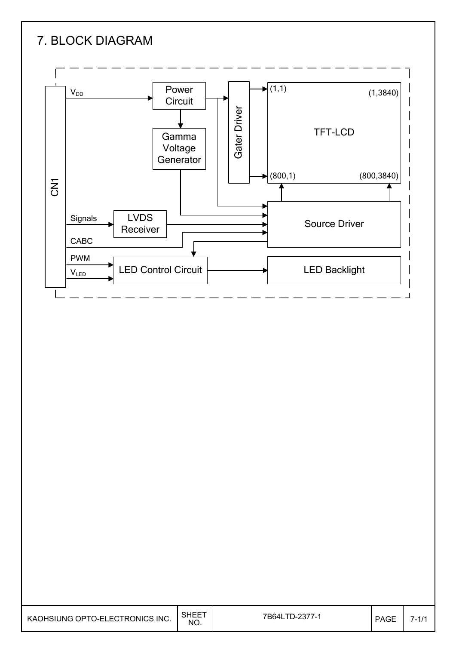

| <b>SHEET</b><br>KAOHSIUNG OPTO-ELECTRONICS INC.<br>NO. | 7B64LTD-2377-1 | <b>PAGE</b> | $(-1)^4$ |
|--------------------------------------------------------|----------------|-------------|----------|
|--------------------------------------------------------|----------------|-------------|----------|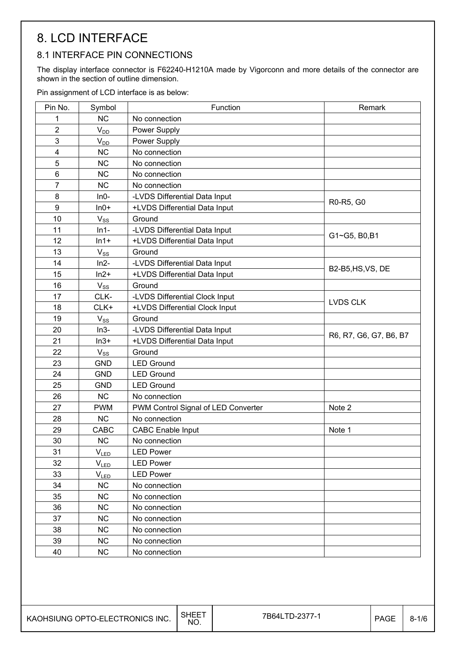## 8. LCD INTERFACE

#### 8.1 INTERFACE PIN CONNECTIONS

The display interface connector is F62240-H1210A made by Vigorconn and more details of the connector are shown in the section of outline dimension.

Pin assignment of LCD interface is as below:

| Pin No.        | Symbol      | Function                            | Remark                 |
|----------------|-------------|-------------------------------------|------------------------|
| 1              | <b>NC</b>   | No connection                       |                        |
| $\overline{2}$ | $V_{DD}$    | Power Supply                        |                        |
| 3              | $V_{DD}$    | Power Supply                        |                        |
| 4              | <b>NC</b>   | No connection                       |                        |
| 5              | <b>NC</b>   | No connection                       |                        |
| 6              | <b>NC</b>   | No connection                       |                        |
| $\overline{7}$ | <b>NC</b>   | No connection                       |                        |
| 8              | $In0-$      | -LVDS Differential Data Input       |                        |
| 9              | $In0+$      | +LVDS Differential Data Input       | R0-R5, G0              |
| 10             | $V_{SS}$    | Ground                              |                        |
| 11             | $ln 1 -$    | -LVDS Differential Data Input       |                        |
| 12             | $ln 1+$     | +LVDS Differential Data Input       | G1~G5, B0,B1           |
| 13             | $V_{SS}$    | Ground                              |                        |
| 14             | $ln2-$      | -LVDS Differential Data Input       |                        |
| 15             | $ln2+$      | +LVDS Differential Data Input       | B2-B5, HS, VS, DE      |
| 16             | $V_{SS}$    | Ground                              |                        |
| 17             | CLK-        | -LVDS Differential Clock Input      |                        |
| 18             | CLK+        | +LVDS Differential Clock Input      | <b>LVDS CLK</b>        |
| 19             | $V_{SS}$    | Ground                              |                        |
| 20             | $In3-$      | -LVDS Differential Data Input       |                        |
| 21             | $In3+$      | +LVDS Differential Data Input       | R6, R7, G6, G7, B6, B7 |
| 22             | $V_{SS}$    | Ground                              |                        |
| 23             | <b>GND</b>  | <b>LED Ground</b>                   |                        |
| 24             | <b>GND</b>  | <b>LED Ground</b>                   |                        |
| 25             | <b>GND</b>  | <b>LED Ground</b>                   |                        |
| 26             | <b>NC</b>   | No connection                       |                        |
| 27             | <b>PWM</b>  | PWM Control Signal of LED Converter | Note 2                 |
| 28             | <b>NC</b>   | No connection                       |                        |
| 29             | <b>CABC</b> | <b>CABC Enable Input</b>            | Note 1                 |
| 30             | <b>NC</b>   | No connection                       |                        |
| 31             | $V_{LED}$   | <b>LED Power</b>                    |                        |
| 32             | $V_{LED}$   | <b>LED Power</b>                    |                        |
| 33             | $V_{LED}$   | <b>LED Power</b>                    |                        |
| 34             | <b>NC</b>   | No connection                       |                        |
| 35             | <b>NC</b>   | No connection                       |                        |
| 36             | <b>NC</b>   | No connection                       |                        |
| 37             | <b>NC</b>   | No connection                       |                        |
| 38             | <b>NC</b>   | No connection                       |                        |
| 39             | <b>NC</b>   | No connection                       |                        |
| 40             | <b>NC</b>   | No connection                       |                        |

NO.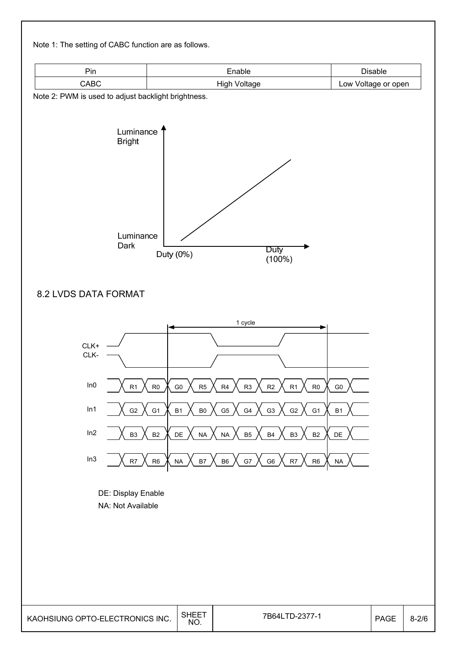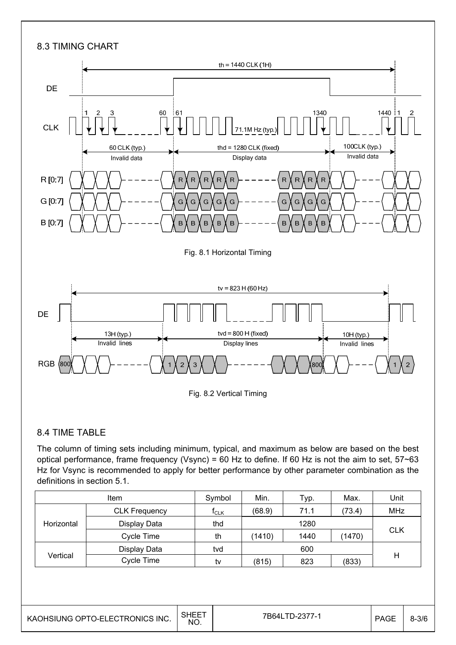

#### 8.4 TIME TABLE

The column of timing sets including minimum, typical, and maximum as below are based on the best optical performance, frame frequency (Vsync) = 60 Hz to define. If 60 Hz is not the aim to set, 57~63 Hz for Vsync is recommended to apply for better performance by other parameter combination as the definitions in section 5.1.

|            | <b>Item</b>          | Symbol           | Min.   | Typ.           | Unit   |            |
|------------|----------------------|------------------|--------|----------------|--------|------------|
| Horizontal | <b>CLK Frequency</b> | t <sub>CLK</sub> | (68.9) | 71.1           | (73.4) | MHz        |
|            | Display Data         | thd              |        |                |        |            |
|            | Cycle Time           | th               | (1410) | (1470)<br>1440 |        | <b>CLK</b> |
| Vertical   | Display Data         | tvd              |        |                |        |            |
|            | Cycle Time           | tv               | (815)  | 823            | (833)  | н          |

| SHEET<br>KAOHSIUNG OPTO-ELECTRONICS INC.<br>NO. | 7B64LTD-2377-1 | <b>PAGE</b> | $8 - 3/6$ |
|-------------------------------------------------|----------------|-------------|-----------|
|-------------------------------------------------|----------------|-------------|-----------|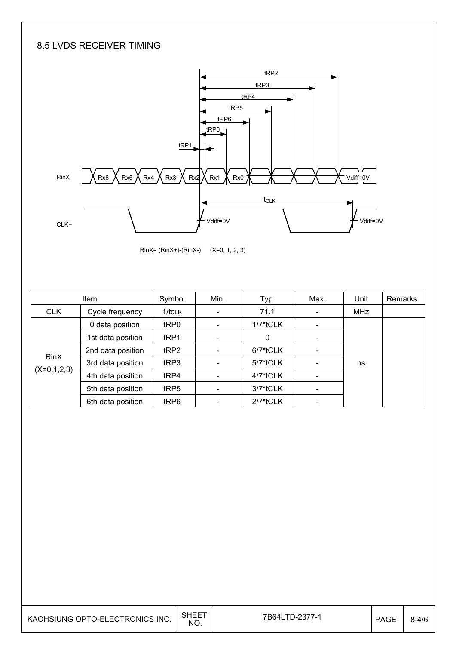### 8.5 LVDS RECEIVER TIMING



RinX= (RinX+)-(RinX-) (X=0, 1, 2, 3)

|                              | Item              | Symbol           | Min. | Typ.        | Max. | Unit       | Remarks |
|------------------------------|-------------------|------------------|------|-------------|------|------------|---------|
| <b>CLK</b>                   | Cycle frequency   | $1/t$ CLK        |      | 71.1        |      | <b>MHz</b> |         |
| <b>RinX</b><br>$(X=0,1,2,3)$ | 0 data position   | tRP0             |      | 1/7*tCLK    |      |            |         |
|                              | 1st data position | t <sub>RP1</sub> |      | 0           |      |            |         |
|                              | 2nd data position | tRP2             |      | 6/7*tCLK    |      |            |         |
|                              | 3rd data position | tRP3             |      | 5/7*tCLK    |      | ns         |         |
|                              | 4th data position | tRP4             |      | 4/7*tCLK    |      |            |         |
|                              | 5th data position | tRP5             |      | 3/7*tCLK    |      |            |         |
|                              | 6th data position | tRP6             |      | $2/7$ *tCLK |      |            |         |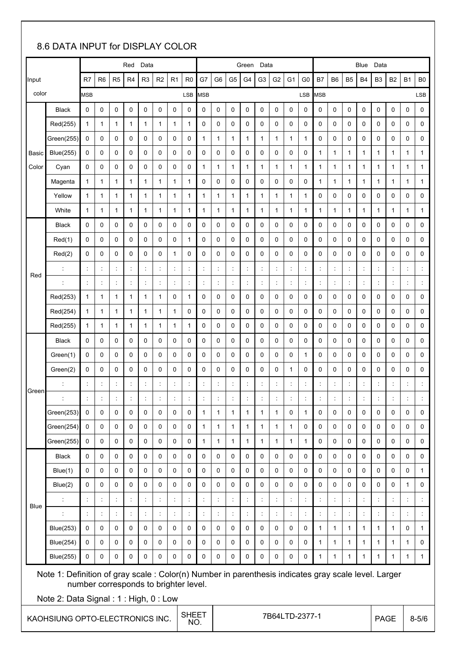### 8.6 DATA INPUT for DISPLAY COLOR

|                                                        |                                                                                                                                              | Red<br>Data    |                      |                |                |                      | Data<br>Green        |                      |                                       |                      |                      |                      | Blue<br>Data         |                      |                      |                |                      |                      |                      |                      |                      |                      |                      |                |                |
|--------------------------------------------------------|----------------------------------------------------------------------------------------------------------------------------------------------|----------------|----------------------|----------------|----------------|----------------------|----------------------|----------------------|---------------------------------------|----------------------|----------------------|----------------------|----------------------|----------------------|----------------------|----------------|----------------------|----------------------|----------------------|----------------------|----------------------|----------------------|----------------------|----------------|----------------|
| Input                                                  |                                                                                                                                              | R7             | R <sub>6</sub>       | R <sub>5</sub> | R <sub>4</sub> | R <sub>3</sub>       | R <sub>2</sub>       | R <sub>1</sub>       | R <sub>0</sub>                        | G7                   | G <sub>6</sub>       | G <sub>5</sub>       | G4                   | G <sub>3</sub>       | G <sub>2</sub>       | G <sub>1</sub> | G <sub>0</sub>       | <b>B7</b>            | B <sub>6</sub>       | B <sub>5</sub>       | B4                   | B3                   | <b>B2</b>            | <b>B1</b>      | B <sub>0</sub> |
| color                                                  |                                                                                                                                              | <b>MSB</b>     |                      |                |                |                      |                      |                      | <b>LSB</b>                            | <b>MSB</b>           |                      |                      |                      |                      |                      |                | LSB                  | <b>MSB</b>           |                      |                      |                      |                      |                      |                | LSB            |
|                                                        | <b>Black</b>                                                                                                                                 | 0              | 0                    | 0              | 0              | 0                    | 0                    | 0                    | 0                                     | 0                    | 0                    | 0                    | 0                    | 0                    | 0                    | 0              | 0                    | 0                    | 0                    | 0                    | 0                    | 0                    | 0                    | 0              | 0              |
|                                                        | Red(255)                                                                                                                                     | 1              | 1                    | 1              | 1              | 1                    | 1                    | 1                    | 1                                     | 0                    | 0                    | 0                    | 0                    | 0                    | 0                    | 0              | 0                    | 0                    | 0                    | 0                    | 0                    | 0                    | 0                    | 0              | 0              |
|                                                        | Green(255)                                                                                                                                   | 0              | 0                    | 0              | 0              | 0                    | 0                    | 0                    | 0                                     | 1                    | 1                    | 1                    | 1                    | 1                    | 1                    | 1              | 1                    | 0                    | 0                    | 0                    | 0                    | 0                    | 0                    | 0              | 0              |
| Basic                                                  | <b>Blue(255)</b>                                                                                                                             | 0              | 0                    | 0              | 0              | 0                    | 0                    | 0                    | 0                                     | 0                    | 0                    | 0                    | 0                    | 0                    | 0                    | 0              | 0                    | 1                    | $\mathbf{1}$         | 1                    | 1                    | 1                    | 1                    | 1              | 1              |
| Color                                                  | Cyan                                                                                                                                         | 0              | 0                    | 0              | 0              | 0                    | 0                    | 0                    | 0                                     | 1                    | 1                    | 1                    | 1                    | 1                    | 1                    | $\mathbf{1}$   | 1                    | 1                    | $\mathbf{1}$         | 1                    | 1                    | 1                    | 1                    | 1              | $\mathbf{1}$   |
|                                                        | Magenta                                                                                                                                      | 1              | 1                    | 1              | 1              | $\mathbf{1}$         | $\mathbf{1}$         | 1                    | 1                                     | 0                    | 0                    | 0                    | 0                    | 0                    | 0                    | 0              | 0                    | 1                    | 1                    | 1                    | 1                    | 1                    | 1                    | 1              | 1              |
|                                                        | Yellow                                                                                                                                       | 1              | 1                    | 1              | 1              | 1                    | 1                    | 1                    | 1                                     | 1                    | 1                    | 1                    | 1                    | 1                    | 1                    | $\mathbf{1}$   | 1                    | 0                    | 0                    | 0                    | 0                    | 0                    | 0                    | 0              | 0              |
|                                                        | White                                                                                                                                        | 1              | 1                    | 1              | 1              | $\mathbf{1}$         | 1                    | 1                    | $\mathbf{1}$                          | 1                    | 1                    | 1                    | 1                    | 1                    | 1                    | $\mathbf{1}$   | 1                    | 1                    | 1                    | 1                    | 1                    | 1                    | 1                    | 1              | $\mathbf{1}$   |
|                                                        | <b>Black</b>                                                                                                                                 | 0              | 0                    | 0              | 0              | 0                    | 0                    | 0                    | 0                                     | 0                    | 0                    | 0                    | 0                    | 0                    | 0                    | 0              | 0                    | 0                    | 0                    | 0                    | 0                    | 0                    | 0                    | 0              | 0              |
|                                                        | Red(1)                                                                                                                                       | 0              | 0                    | 0              | 0              | 0                    | 0                    | 0                    | 1                                     | 0                    | 0                    | 0                    | 0                    | 0                    | 0                    | 0              | 0                    | 0                    | 0                    | 0                    | 0                    | 0                    | 0                    | 0              | 0              |
|                                                        | Red(2)                                                                                                                                       | 0              | 0                    | 0              | 0              | 0                    | 0                    | 1                    | 0                                     | 0                    | 0                    | 0                    | 0                    | 0                    | 0                    | 0              | 0                    | 0                    | 0                    | 0                    | 0                    | 0                    | 0                    | 0              | 0              |
| Red                                                    | $\ddot{\cdot}$                                                                                                                               | ÷              | $\ddot{\phantom{a}}$ | ÷              | ÷              | $\ddot{\phantom{a}}$ | $\ddot{\phantom{a}}$ | $\ddot{\phantom{a}}$ | ċ                                     | $\ddot{\phantom{a}}$ | $\ddot{\phantom{a}}$ | ċ                    | ÷                    | $\ddot{\phantom{a}}$ | $\ddot{\cdot}$       | ÷              | $\ddot{\cdot}$       | $\ddot{\phantom{a}}$ | ÷                    | $\ddot{\phantom{a}}$ | $\ddot{\phantom{a}}$ | $\ddot{\phantom{a}}$ | $\ddot{\phantom{a}}$ | $\ddot{\cdot}$ | ÷              |
|                                                        |                                                                                                                                              |                | $\ddot{\cdot}$       | t              |                | $\ddot{\cdot}$       | $\ddot{\phantom{a}}$ |                      | $\ddot{\phantom{a}}$                  | $\ddot{\phantom{a}}$ | $\ddot{\phantom{a}}$ | Ì,                   | $\ddot{\cdot}$       | $\ddot{\phantom{a}}$ | $\ddot{\cdot}$       | $\ddot{\cdot}$ |                      | $\ddot{\cdot}$       | $\ddot{\cdot}$       |                      | $\ddot{\cdot}$       | ÷                    |                      | $\ddot{\cdot}$ |                |
|                                                        | Red(253)                                                                                                                                     | 1              | 1                    | 1              | 1              | 1                    | 1                    | 0                    | 1                                     | 0                    | 0                    | 0                    | 0                    | 0                    | 0                    | 0              | 0                    | 0                    | 0                    | 0                    | 0                    | 0                    | 0                    | 0              | 0              |
|                                                        | Red(254)                                                                                                                                     | 1              | 1                    | 1              | 1              | $\mathbf{1}$         | 1                    | 1                    | 0                                     | 0                    | 0                    | 0                    | 0                    | 0                    | 0                    | 0              | 0                    | 0                    | 0                    | 0                    | 0                    | 0                    | 0                    | 0              | 0              |
|                                                        | Red(255)                                                                                                                                     | 1              | 1                    | 1              | 1              | $\mathbf{1}$         | 1                    | 1                    | 1                                     | 0                    | 0                    | 0                    | 0                    | 0                    | 0                    | 0              | 0                    | 0                    | 0                    | 0                    | 0                    | 0                    | 0                    | 0              | 0              |
|                                                        | <b>Black</b>                                                                                                                                 | 0              | 0                    | 0              | 0              | 0                    | 0                    | 0                    | 0                                     | 0                    | 0                    | 0                    | 0                    | 0                    | 0                    | 0              | 0                    | 0                    | 0                    | 0                    | 0                    | 0                    | 0                    | 0              | 0              |
|                                                        | Green(1)                                                                                                                                     | 0              | 0                    | 0              | 0              | 0                    | 0                    | 0                    | 0                                     | 0                    | 0                    | 0                    | 0                    | 0                    | 0                    | 0              | $\mathbf{1}$         | 0                    | 0                    | 0                    | 0                    | 0                    | 0                    | 0              | 0              |
|                                                        | Green(2)                                                                                                                                     | 0              | 0                    | 0              | 0              | 0                    | 0                    | 0                    | 0                                     | 0                    | 0                    | 0                    | 0                    | 0                    | 0                    | $\mathbf{1}$   | 0                    | 0                    | 0                    | 0                    | 0                    | 0                    | 0                    | 0              | 0              |
| Green                                                  |                                                                                                                                              |                |                      | t              |                |                      | $\ddot{\phantom{a}}$ |                      |                                       | $\ddot{\phantom{a}}$ |                      |                      | $\ddot{\phantom{a}}$ |                      |                      | t              |                      |                      | t                    |                      |                      | $\ddot{\phantom{a}}$ |                      |                |                |
|                                                        |                                                                                                                                              |                | $\ddot{\cdot}$       |                |                | $\ddot{\phantom{0}}$ | $\ddot{\cdot}$       |                      | t                                     |                      |                      | t                    |                      | $\ddot{\phantom{a}}$ | $\ddot{\phantom{a}}$ |                | $\ddot{\phantom{a}}$ | $\ddot{\phantom{a}}$ |                      |                      | t                    |                      | $\ddot{\phantom{a}}$ | ÷              |                |
|                                                        | Green(253)                                                                                                                                   | $\mathbf{0}$   | $\Omega$             | $\Omega$       | $\Omega$       | $\Omega$             | $\Omega$             | $\Omega$             | $\Omega$                              | $\mathbf{1}$         | $\mathbf{1}$         | $\mathbf{1}$         | $\mathbf{1}$         | 1                    | $\mathbf{1}$         | $\Omega$       | $\mathbf{1}$         | $\Omega$             | $\Omega$             | $\Omega$             | $\Omega$             | $\Omega$             | $\Omega$             | $\Omega$       | 0              |
|                                                        | Green(254)                                                                                                                                   | 0              | 0                    | 0              | 0              | 0                    | 0                    | 0                    | $\pmb{0}$                             | $\mathbf{1}$         | $\mathbf{1}$         | $\mathbf{1}$         | $\mathbf{1}$         | $\mathbf{1}$         | $\mathbf{1}$         | $\mathbf{1}$   | $\mathbf 0$          | 0                    | 0                    | $\mathbf 0$          | 0                    | 0                    | 0                    | 0              | 0              |
|                                                        | Green(255)                                                                                                                                   | 0              | 0                    | 0              | 0              | 0                    | 0                    | 0                    | $\mathbf 0$                           | $\mathbf{1}$         | 1                    | $\mathbf{1}$         | $\mathbf{1}$         | $\mathbf{1}$         | $\mathbf{1}$         | $\mathbf{1}$   | $\mathbf{1}$         | 0                    | 0                    | $\mathbf 0$          | $\mathbf 0$          | 0                    | 0                    | 0              | $\mathsf 0$    |
|                                                        | <b>Black</b>                                                                                                                                 | 0              | $\mathbf 0$          | 0              | 0              | 0                    | 0                    | 0                    | $\pmb{0}$                             | 0                    | 0                    | $\mathbf 0$          | 0                    | $\mathbf 0$          | $\mathbf 0$          | $\mathbf 0$    | $\mathbf 0$          | 0                    | 0                    | $\mathbf 0$          | 0                    | 0                    | 0                    | 0              | $\mathsf 0$    |
|                                                        | Blue(1)                                                                                                                                      | $\mathbf 0$    | $\mathbf 0$          | 0              | 0              | 0                    | 0                    | 0                    | 0                                     | $\mathbf 0$          | $\mathbf 0$          | $\mathbf 0$          | 0                    | $\mathbf 0$          | $\mathbf 0$          | $\mathbf 0$    | $\mathsf{O}\xspace$  | 0                    | 0                    | $\mathbf 0$          | 0                    | 0                    | 0                    | 0              | $\mathbf{1}$   |
|                                                        | Blue(2)                                                                                                                                      | $\mathbf 0$    | $\mathbf{0}$         | $\Omega$       | $\mathbf 0$    | $\Omega$             | $\Omega$             | $\mathbf 0$          | $\mathbf 0$                           | $\Omega$             | $\mathbf 0$          | $\mathbf 0$          | $\Omega$             | $\mathbf 0$          | $\Omega$             | $\Omega$       | $\mathbf 0$          | $\Omega$             | $\Omega$             | $\mathbf 0$          | 0                    | $\Omega$             | $\mathbf 0$          | $\mathbf{1}$   | $\mathsf{O}$   |
| Blue                                                   |                                                                                                                                              | ÷              | $\ddot{\phantom{a}}$ | ÷              | t              | t                    | $\ddot{\phantom{a}}$ | t                    | $\ddot{\cdot}$                        | $\ddot{\phantom{a}}$ | $\ddot{\phantom{a}}$ | $\ddot{\phantom{a}}$ | $\ddot{\phantom{a}}$ | $\ddot{\phantom{a}}$ | $\ddot{\phantom{a}}$ | ÷              | $\ddot{\phantom{a}}$ | $\ddot{\phantom{a}}$ | $\ddot{\phantom{a}}$ | t                    | $\ddot{\phantom{a}}$ | ÷                    | $\ddot{\phantom{a}}$ | $\ddot{\cdot}$ | ÷              |
|                                                        | t                                                                                                                                            | $\ddot{\cdot}$ | $\ddot{\phantom{a}}$ | ÷              | $\ddot{\cdot}$ | t                    | ÷                    | t                    | t,                                    | ÷                    | $\ddot{\phantom{a}}$ | ÷                    | ÷                    | $\ddot{\phantom{a}}$ | $\ddot{\phantom{a}}$ | ÷              | $\ddot{\cdot}$       | $\ddot{\phantom{a}}$ | ÷                    | ÷                    | $\ddot{\cdot}$       | ÷                    | $\ddot{.}$           | $\ddot{\cdot}$ | ÷              |
|                                                        | <b>Blue(253)</b>                                                                                                                             | 0              | $\mathbf 0$          | 0              | 0              | 0                    | 0                    | 0                    | 0                                     | 0                    | $\mathbf 0$          | 0                    | 0                    | 0                    | 0                    | 0              | $\mathbf 0$          | $\mathbf{1}$         | $\mathbf{1}$         | $\mathbf{1}$         | $\mathbf{1}$         | $\mathbf{1}$         | $\mathbf{1}$         | 0              | $\mathbf{1}$   |
|                                                        | <b>Blue(254)</b>                                                                                                                             | 0              | $\mathbf 0$          | 0              | 0              | 0                    | 0                    | 0                    | 0                                     | 0                    | $\mathbf 0$          | $\mathbf 0$          | 0                    | $\mathbf 0$          | 0                    | 0              | $\mathbf 0$          | 1                    | $\mathbf{1}$         | 1                    | $\mathbf{1}$         | $\mathbf{1}$         | 1                    | $\mathbf{1}$   | 0              |
|                                                        | <b>Blue(255)</b>                                                                                                                             | 0              | 0                    | 0              | 0              | 0                    | 0                    | 0                    | $\pmb{0}$                             | 0                    | 0                    | 0                    | 0                    | 0                    | 0                    | 0              | 0                    | 1                    | $\mathbf{1}$         | 1                    | $\mathbf{1}$         | 1                    | $\mathbf{1}$         | 1              | $\mathbf{1}$   |
|                                                        | Note 1: Definition of gray scale : Color(n) Number in parenthesis indicates gray scale level. Larger<br>Note 2: Data Signal: 1: High, 0: Low |                |                      |                |                |                      |                      |                      | number corresponds to brighter level. |                      |                      |                      |                      |                      |                      |                |                      |                      |                      |                      |                      |                      |                      |                |                |
| <b>SHEET</b><br>KAOHSIUNG OPTO-ELECTRONICS INC.<br>NO. |                                                                                                                                              |                |                      |                |                |                      |                      |                      |                                       |                      |                      |                      | 7B64LTD-2377-1       |                      |                      |                |                      | <b>PAGE</b>          |                      |                      | $8 - 5/6$            |                      |                      |                |                |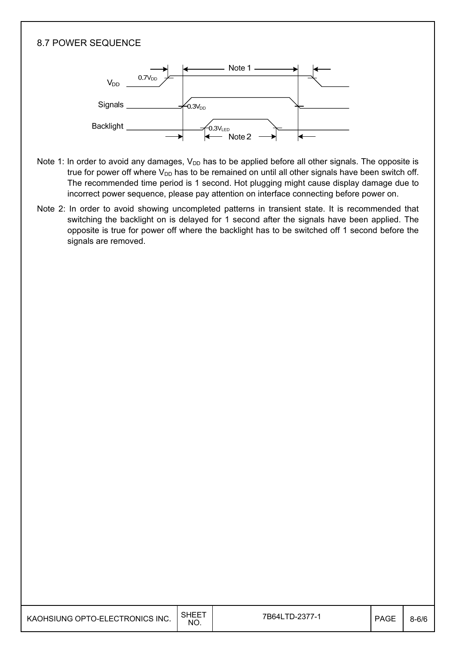#### 8.7 POWER SEQUENCE



- Note 1: In order to avoid any damages,  $V_{DD}$  has to be applied before all other signals. The opposite is true for power off where  $V_{DD}$  has to be remained on until all other signals have been switch off. The recommended time period is 1 second. Hot plugging might cause display damage due to incorrect power sequence, please pay attention on interface connecting before power on.
- Note 2: In order to avoid showing uncompleted patterns in transient state. It is recommended that switching the backlight on is delayed for 1 second after the signals have been applied. The opposite is true for power off where the backlight has to be switched off 1 second before the signals are removed.

| KAOHSIUNG OPTO-ELECTRONICS INC. | SHEET<br>NO. | 7B64LTD-2377-1 | <b>PAGE</b> | $8 - 6/6$ |
|---------------------------------|--------------|----------------|-------------|-----------|
|---------------------------------|--------------|----------------|-------------|-----------|